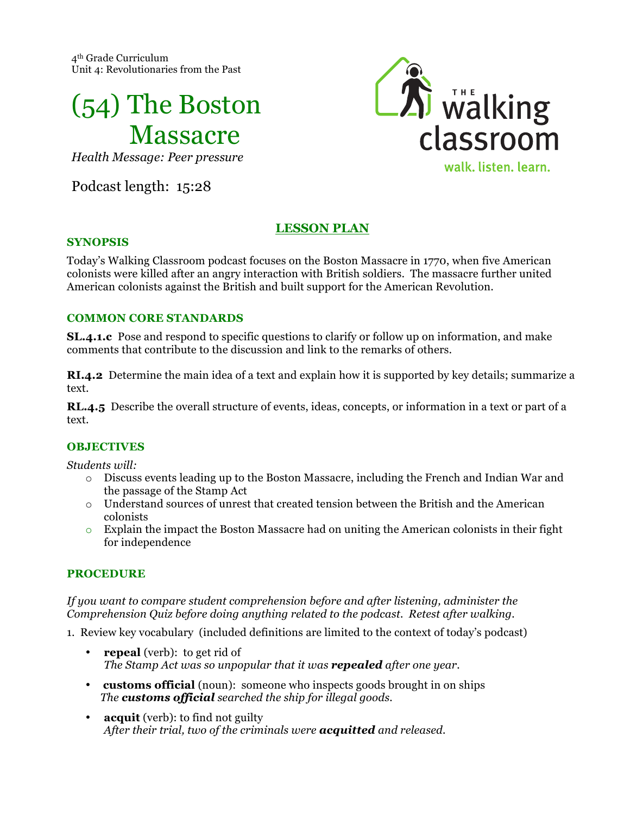4th Grade Curriculum Unit 4: Revolutionaries from the Past



*Health Message: Peer pressure*

Podcast length: 15:28



# **LESSON PLAN**

#### **SYNOPSIS**

Today's Walking Classroom podcast focuses on the Boston Massacre in 1770, when five American colonists were killed after an angry interaction with British soldiers. The massacre further united American colonists against the British and built support for the American Revolution.

### **COMMON CORE STANDARDS**

**SL.4.1.c** Pose and respond to specific questions to clarify or follow up on information, and make comments that contribute to the discussion and link to the remarks of others.

**RI.4.2** Determine the main idea of a text and explain how it is supported by key details; summarize a text.

**RL.4.5** Describe the overall structure of events, ideas, concepts, or information in a text or part of a text.

## **OBJECTIVES**

*Students will:*

- o Discuss events leading up to the Boston Massacre, including the French and Indian War and the passage of the Stamp Act
- o Understand sources of unrest that created tension between the British and the American colonists
- $\circ$  Explain the impact the Boston Massacre had on uniting the American colonists in their fight for independence

### **PROCEDURE**

*If you want to compare student comprehension before and after listening, administer the Comprehension Quiz before doing anything related to the podcast. Retest after walking.*

1. Review key vocabulary (included definitions are limited to the context of today's podcast)

- **repeal** (verb): to get rid of *The Stamp Act was so unpopular that it was repealed after one year.*
- **customs official** (noun): someone who inspects goods brought in on ships *The customs official searched the ship for illegal goods.*
- **acquit** (verb): to find not guilty *After their trial, two of the criminals were acquitted and released.*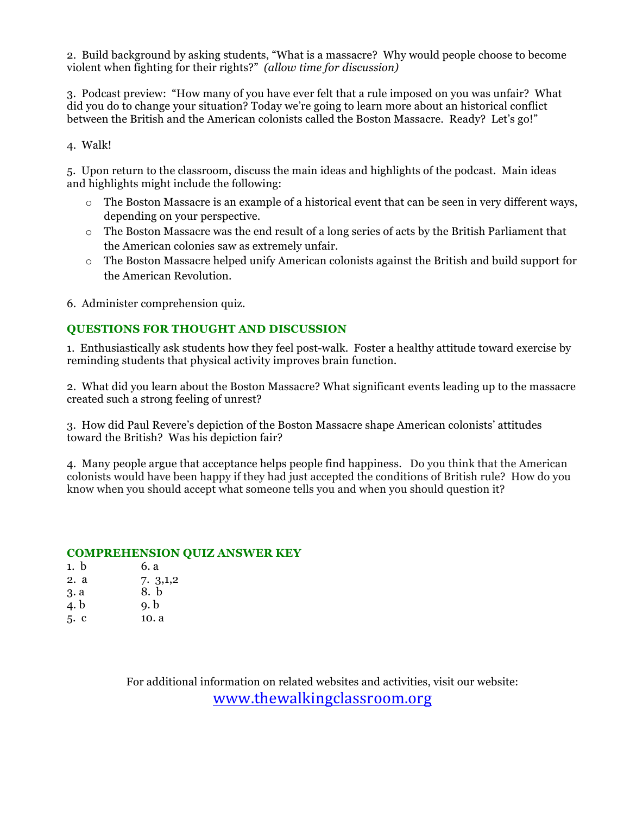2. Build background by asking students, "What is a massacre? Why would people choose to become violent when fighting for their rights?" *(allow time for discussion)*

3. Podcast preview: "How many of you have ever felt that a rule imposed on you was unfair? What did you do to change your situation? Today we're going to learn more about an historical conflict between the British and the American colonists called the Boston Massacre. Ready? Let's go!"

4. Walk!

5. Upon return to the classroom, discuss the main ideas and highlights of the podcast. Main ideas and highlights might include the following:

- o The Boston Massacre is an example of a historical event that can be seen in very different ways, depending on your perspective.
- o The Boston Massacre was the end result of a long series of acts by the British Parliament that the American colonies saw as extremely unfair.
- $\circ$  The Boston Massacre helped unify American colonists against the British and build support for the American Revolution.

6. Administer comprehension quiz.

### **QUESTIONS FOR THOUGHT AND DISCUSSION**

1. Enthusiastically ask students how they feel post-walk. Foster a healthy attitude toward exercise by reminding students that physical activity improves brain function.

2. What did you learn about the Boston Massacre? What significant events leading up to the massacre created such a strong feeling of unrest?

3. How did Paul Revere's depiction of the Boston Massacre shape American colonists' attitudes toward the British? Was his depiction fair?

4. Many people argue that acceptance helps people find happiness. Do you think that the American colonists would have been happy if they had just accepted the conditions of British rule? How do you know when you should accept what someone tells you and when you should question it?

#### **COMPREHENSION QUIZ ANSWER KEY**

| 1. b | 6. a    |
|------|---------|
| 2. a | 7.3,1,2 |
| 3. a | 8. b    |
| 4. b | 9. b    |
| 5. c | 10. a   |

For additional information on related websites and activities, visit our website: www.thewalkingclassroom.org